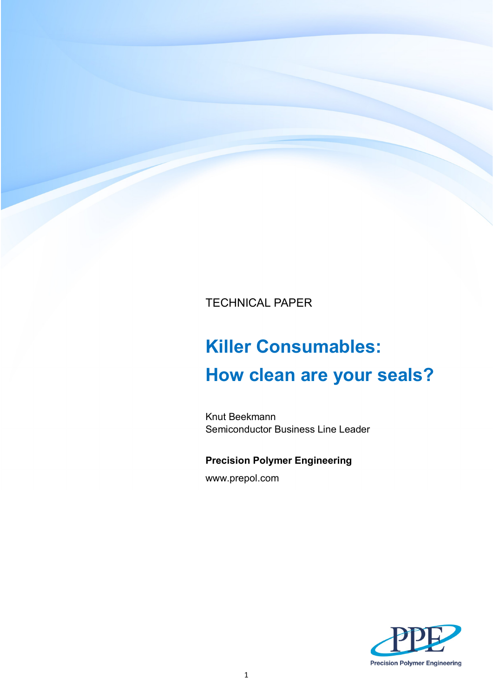TECHNICAL PAPER

# **Killer Consumables: How clean are your seals?**

Knut Beekmann Semiconductor Business Line Leader

## **Precision Polymer Engineering**

www.prepol.com

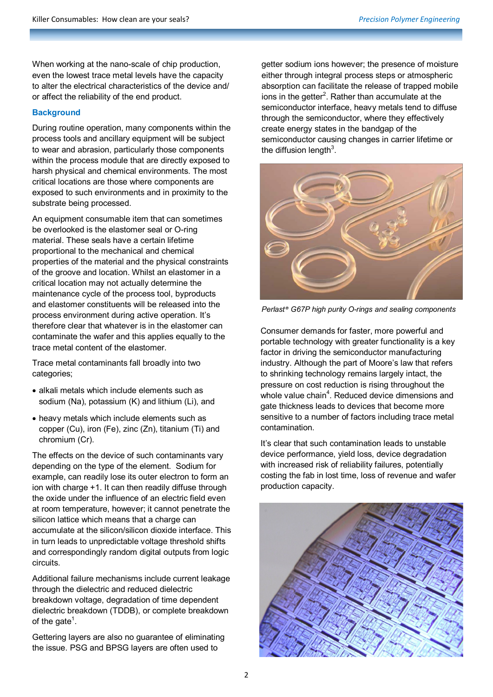When working at the nano-scale of chip production, even the lowest trace metal levels have the capacity to alter the electrical characteristics of the device and/ or affect the reliability of the end product.

## **Background**

During routine operation, many components within the process tools and ancillary equipment will be subject to wear and abrasion, particularly those components within the process module that are directly exposed to harsh physical and chemical environments. The most critical locations are those where components are exposed to such environments and in proximity to the substrate being processed.

An equipment consumable item that can sometimes be overlooked is the elastomer seal or O-ring material. These seals have a certain lifetime proportional to the mechanical and chemical properties of the material and the physical constraints of the groove and location. Whilst an elastomer in a critical location may not actually determine the maintenance cycle of the process tool, byproducts and elastomer constituents will be released into the process environment during active operation. It's therefore clear that whatever is in the elastomer can contaminate the wafer and this applies equally to the trace metal content of the elastomer.

Trace metal contaminants fall broadly into two categories;

- alkali metals which include elements such as sodium (Na), potassium (K) and lithium (Li), and
- heavy metals which include elements such as copper (Cu), iron (Fe), zinc (Zn), titanium (Ti) and chromium (Cr).

The effects on the device of such contaminants vary depending on the type of the element. Sodium for example, can readily lose its outer electron to form an ion with charge +1. It can then readily diffuse through the oxide under the influence of an electric field even at room temperature, however; it cannot penetrate the silicon lattice which means that a charge can accumulate at the silicon/silicon dioxide interface. This in turn leads to unpredictable voltage threshold shifts and correspondingly random digital outputs from logic circuits.

Additional failure mechanisms include current leakage through the dielectric and reduced dielectric breakdown voltage, degradation of time dependent dielectric breakdown (TDDB), or complete breakdown of the gate<sup>1</sup>.

Gettering layers are also no guarantee of eliminating the issue. PSG and BPSG layers are often used to

getter sodium ions however; the presence of moisture either through integral process steps or atmospheric absorption can facilitate the release of trapped mobile ions in the getter $2$ . Rather than accumulate at the semiconductor interface, heavy metals tend to diffuse through the semiconductor, where they effectively create energy states in the bandgap of the semiconductor causing changes in carrier lifetime or the diffusion length $3$ .



*Perlast® G67P high purity O-rings and sealing components*

Consumer demands for faster, more powerful and portable technology with greater functionality is a key factor in driving the semiconductor manufacturing industry. Although the part of Moore's law that refers to shrinking technology remains largely intact, the pressure on cost reduction is rising throughout the whole value chain<sup>4</sup>. Reduced device dimensions and gate thickness leads to devices that become more sensitive to a number of factors including trace metal contamination.

It's clear that such contamination leads to unstable device performance, yield loss, device degradation with increased risk of reliability failures, potentially costing the fab in lost time, loss of revenue and wafer production capacity.

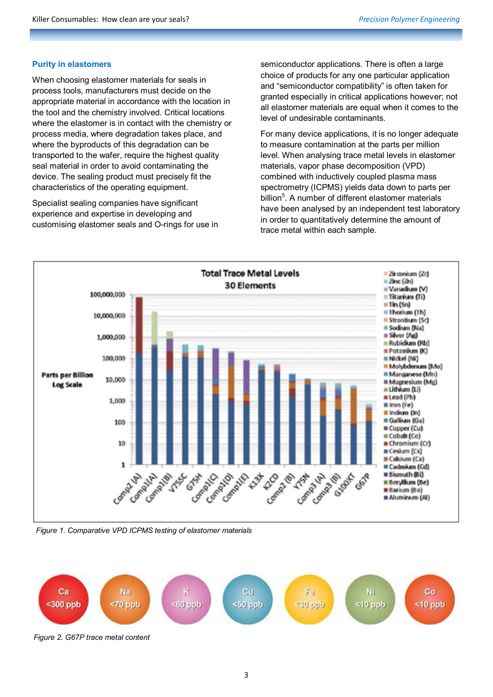## **Purity in elastomers**

When choosing elastomer materials for seals in process tools, manufacturers must decide on the appropriate material in accordance with the location in the tool and the chemistry involved. Critical locations where the elastomer is in contact with the chemistry or process media, where degradation takes place, and where the byproducts of this degradation can be transported to the wafer, require the highest quality seal material in order to avoid contaminating the device. The sealing product must precisely fit the characteristics of the operating equipment.

Specialist sealing companies have significant experience and expertise in developing and customising elastomer seals and O-rings for use in semiconductor applications. There is often a large choice of products for any one particular application and "semiconductor compatibility" is often taken for granted especially in critical applications however; not all elastomer materials are equal when it comes to the level of undesirable contaminants.

For many device applications, it is no longer adequate to measure contamination at the parts per million level. When analysing trace metal levels in elastomer materials, vapor phase decomposition (VPD) combined with inductively coupled plasma mass spectrometry (ICPMS) yields data down to parts per billion<sup>5</sup>. A number of different elastomer materials have been analysed by an independent test laboratory in order to quantitatively determine the amount of trace metal within each sample.



*Figure 1. Comparative VPD ICPMS testing of elastomer materials* 



*Figure 2. G67P trace metal content*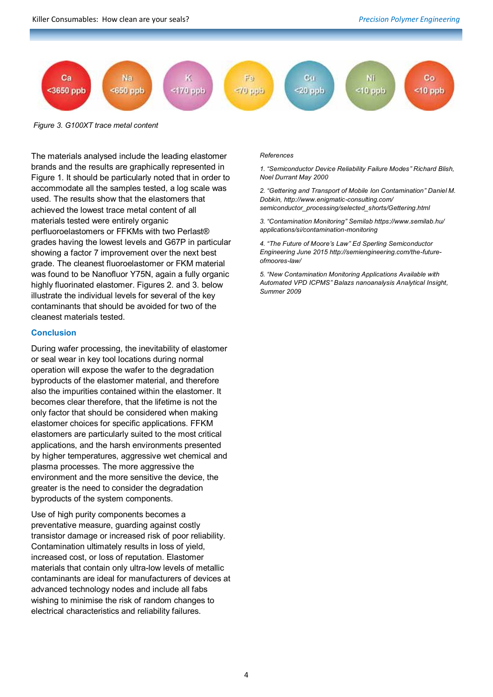

*Figure 3. G100XT trace metal content* 

The materials analysed include the leading elastomer brands and the results are graphically represented in Figure 1. It should be particularly noted that in order to accommodate all the samples tested, a log scale was used. The results show that the elastomers that achieved the lowest trace metal content of all materials tested were entirely organic perfluoroelastomers or FFKMs with two Perlast® grades having the lowest levels and G67P in particular showing a factor 7 improvement over the next best grade. The cleanest fluoroelastomer or FKM material was found to be Nanofluor Y75N, again a fully organic highly fluorinated elastomer. Figures 2. and 3. below illustrate the individual levels for several of the key contaminants that should be avoided for two of the cleanest materials tested.

## **Conclusion**

During wafer processing, the inevitability of elastomer or seal wear in key tool locations during normal operation will expose the wafer to the degradation byproducts of the elastomer material, and therefore also the impurities contained within the elastomer. It becomes clear therefore, that the lifetime is not the only factor that should be considered when making elastomer choices for specific applications. FFKM elastomers are particularly suited to the most critical applications, and the harsh environments presented by higher temperatures, aggressive wet chemical and plasma processes. The more aggressive the environment and the more sensitive the device, the greater is the need to consider the degradation byproducts of the system components.

Use of high purity components becomes a preventative measure, guarding against costly transistor damage or increased risk of poor reliability. Contamination ultimately results in loss of yield, increased cost, or loss of reputation. Elastomer materials that contain only ultra-low levels of metallic contaminants are ideal for manufacturers of devices at advanced technology nodes and include all fabs wishing to minimise the risk of random changes to electrical characteristics and reliability failures.

#### *References*

*1. "Semiconductor Device Reliability Failure Modes" Richard Blish, Noel Durrant May 2000*

*2. "Gettering and Transport of Mobile Ion Contamination" Daniel M. Dobkin, http://www.enigmatic-consulting.com/ semiconductor\_processing/selected\_shorts/Gettering.html*

*3. "Contamination Monitoring" Semilab https://www.semilab.hu/ applications/si/contamination-monitoring*

*4. "The Future of Moore's Law" Ed Sperling Semiconductor Engineering June 2015 http://semiengineering.com/the-futureofmoores-law/*

*5. "New Contamination Monitoring Applications Available with Automated VPD ICPMS" Balazs nanoanalysis Analytical Insight, Summer 2009*